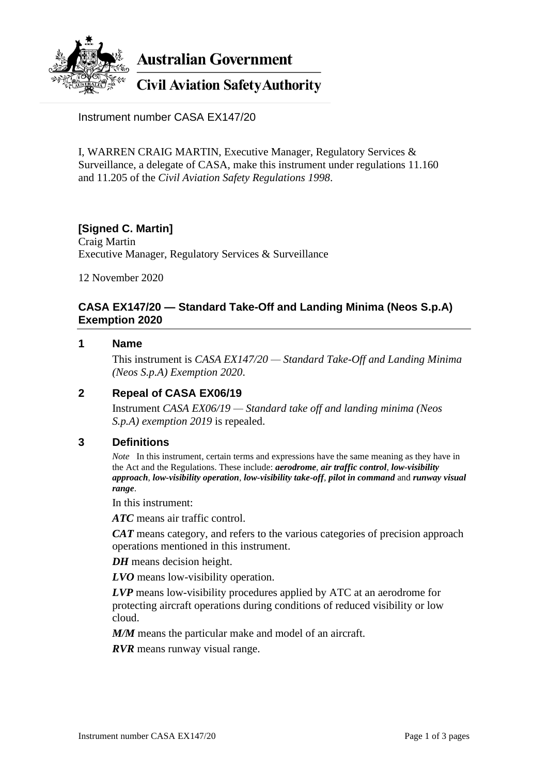

**Australian Government** 

# **Civil Aviation Safety Authority**

Instrument number CASA EX147/20

I, WARREN CRAIG MARTIN, Executive Manager, Regulatory Services & Surveillance, a delegate of CASA, make this instrument under regulations 11.160 and 11.205 of the *Civil Aviation Safety Regulations 1998*.

# **[Signed C. Martin]**

Craig Martin Executive Manager, Regulatory Services & Surveillance

12 November 2020

## **CASA EX147/20 — Standard Take-Off and Landing Minima (Neos S.p.A) Exemption 2020**

### **1 Name**

This instrument is *CASA EX147/20 — Standard Take-Off and Landing Minima (Neos S.p.A) Exemption 2020*.

# **2 Repeal of CASA EX06/19**

Instrument *CASA EX06/19 — Standard take off and landing minima (Neos S.p.A) exemption 2019* is repealed.

## **3 Definitions**

*Note* In this instrument, certain terms and expressions have the same meaning as they have in the Act and the Regulations. These include: *aerodrome*, *air traffic control*, *low-visibility approach*, *low-visibility operation*, *low-visibility take-off*, *pilot in command* and *runway visual range*.

In this instrument:

*ATC* means air traffic control.

*CAT* means category, and refers to the various categories of precision approach operations mentioned in this instrument.

*DH* means decision height.

*LVO* means low-visibility operation.

*LVP* means low-visibility procedures applied by ATC at an aerodrome for protecting aircraft operations during conditions of reduced visibility or low cloud.

*M/M* means the particular make and model of an aircraft.

*RVR* means runway visual range.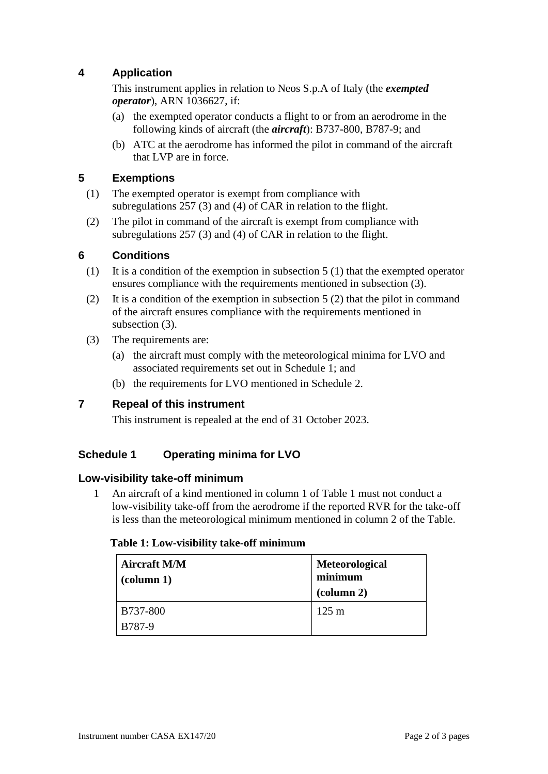# **4 Application**

This instrument applies in relation to Neos S.p.A of Italy (the *exempted operator*), ARN 1036627, if:

- (a) the exempted operator conducts a flight to or from an aerodrome in the following kinds of aircraft (the *aircraft*): B737-800, B787-9; and
- (b) ATC at the aerodrome has informed the pilot in command of the aircraft that LVP are in force.

## **5 Exemptions**

- (1) The exempted operator is exempt from compliance with subregulations 257 (3) and (4) of CAR in relation to the flight.
- (2) The pilot in command of the aircraft is exempt from compliance with subregulations 257 (3) and (4) of CAR in relation to the flight.

## **6 Conditions**

- (1) It is a condition of the exemption in subsection 5 (1) that the exempted operator ensures compliance with the requirements mentioned in subsection (3).
- (2) It is a condition of the exemption in subsection 5 (2) that the pilot in command of the aircraft ensures compliance with the requirements mentioned in subsection  $(3)$ .
- (3) The requirements are:
	- (a) the aircraft must comply with the meteorological minima for LVO and associated requirements set out in Schedule 1; and
	- (b) the requirements for LVO mentioned in Schedule 2.

## **7 Repeal of this instrument**

This instrument is repealed at the end of 31 October 2023.

# **Schedule 1 Operating minima for LVO**

#### **Low-visibility take-off minimum**

1 An aircraft of a kind mentioned in column 1 of Table 1 must not conduct a low-visibility take-off from the aerodrome if the reported RVR for the take-off is less than the meteorological minimum mentioned in column 2 of the Table.

#### **Table 1: Low-visibility take-off minimum**

| <b>Aircraft M/M</b><br>$\alpha$ (column 1) | Meteorological<br>minimum<br>$\alpha$ (column 2) |  |
|--------------------------------------------|--------------------------------------------------|--|
| B737-800                                   | $125 \text{ m}$                                  |  |
| B787-9                                     |                                                  |  |